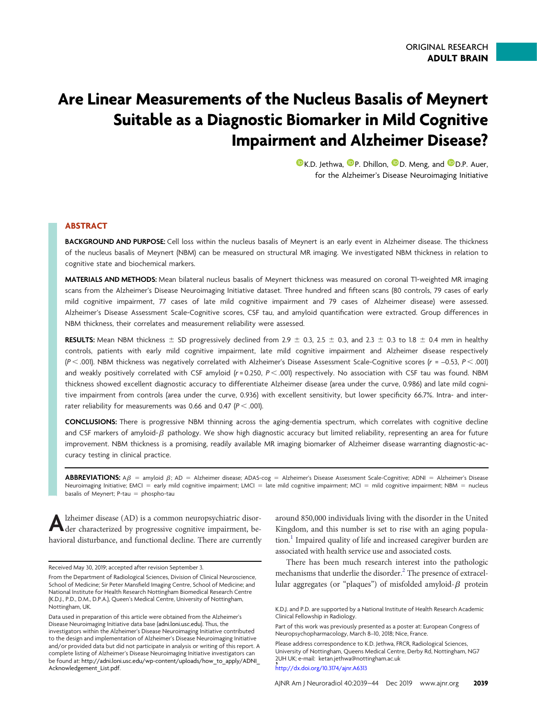# Are Linear Measurements of the Nucleus Basalis of Meynert Suitable as a Diagnostic Biomarker in Mild Cognitive Impairment and Alzheimer Disease?

**O[K.D. Jethwa,](https://orcid.org/0000-0003-0787-6577) O[P. Dhillon,](https://orcid.org/0000-0003-4353-4515) O[D. Meng,](https://orcid.org/0000-0001-9601-7111) and O[D.P. Auer,](https://orcid.org/0000-0002-4745-3635)** for the Alzheimer's Disease Neuroimaging Initiative

## ABSTRACT

BACKGROUND AND PURPOSE: Cell loss within the nucleus basalis of Meynert is an early event in Alzheimer disease. The thickness of the nucleus basalis of Meynert (NBM) can be measured on structural MR imaging. We investigated NBM thickness in relation to cognitive state and biochemical markers.

MATERIALS AND METHODS: Mean bilateral nucleus basalis of Meynert thickness was measured on coronal T1-weighted MR imaging scans from the Alzheimer's Disease Neuroimaging Initiative dataset. Three hundred and fifteen scans (80 controls, 79 cases of early mild cognitive impairment, 77 cases of late mild cognitive impairment and 79 cases of Alzheimer disease) were assessed. Alzheimer's Disease Assessment Scale-Cognitive scores, CSF tau, and amyloid quantification were extracted. Group differences in NBM thickness, their correlates and measurement reliability were assessed.

RESULTS: Mean NBM thickness  $\pm$  SD progressively declined from 2.9  $\pm$  0.3, 2.5  $\pm$  0.3, and 2.3  $\pm$  0.3 to 1.8  $\pm$  0.4 mm in healthy controls, patients with early mild cognitive impairment, late mild cognitive impairment and Alzheimer disease respectively  $(P < .001)$ . NBM thickness was negatively correlated with Alzheimer's Disease Assessment Scale-Cognitive scores  $(r = -0.53, P < .001)$ and weakly positively correlated with CSF amyloid  $(r = 0.250, P < .001)$  respectively. No association with CSF tau was found. NBM thickness showed excellent diagnostic accuracy to differentiate Alzheimer disease (area under the curve, 0.986) and late mild cognitive impairment from controls (area under the curve, 0.936) with excellent sensitivity, but lower specificity 66.7%. Intra- and interrater reliability for measurements was 0.66 and 0.47  $(P < .001)$ .

CONCLUSIONS: There is progressive NBM thinning across the aging-dementia spectrum, which correlates with cognitive decline and CSF markers of amyloid- $\beta$  pathology. We show high diagnostic accuracy but limited reliability, representing an area for future improvement. NBM thickness is a promising, readily available MR imaging biomarker of Alzheimer disease warranting diagnostic-accuracy testing in clinical practice.

**ABBREVIATIONS:**  $A\beta$  = amyloid  $\beta$ ; AD = Alzheimer disease; ADAS-cog = Alzheimer's Disease Assessment Scale-Cognitive; ADNI = Alzheimer's Disease Neuroimaging Initiative; EMCI = early mild cognitive impairment; LMCI = late mild cognitive impairment; MCI = mild cognitive impairment; NBM = nucleus basalis of Meynert;  $P$ -tau = phospho-tau

Alzheimer disease (AD) is a common neuropsychiatric disor-<br>der characterized by progressive cognitive impairment, behavioral disturbance, and functional decline. There are currently around 850,000 individuals living with the disorder in the United Kingdom, and this number is set to rise with an aging popula- $\{\text{tion}\}\$ Impaired quality of life and increased caregiver burden are associated with health service use and associated costs.

There has been much research interest into the pathologic mechanisms that underlie the disorder.<sup>2</sup> The presence of extracellular aggregates (or "plaques") of misfolded amyloid- $\beta$  protein

Received May 30, 2019; accepted after revision September 3.

From the Department of Radiological Sciences, Division of Clinical Neuroscience, School of Medicine; Sir Peter Mansfield Imaging Centre, School of Medicine; and National Institute for Health Research Nottingham Biomedical Research Centre (K.D.J., P.D., D.M., D.P.A.), Queen's Medical Centre, University of Nottingham, Nottingham, UK.

Data used in preparation of this article were obtained from the Alzheimer's Disease Neuroimaging Initiative data base ([adni.loni.usc.edu\)](http://adni.loni.usc.edu). Thus, the investigators within the Alzheimer's Disease Neuroimaging Initiative contributed to the design and implementation of Alzheimer's Disease Neuroimaging Initiative and/or provided data but did not participate in analysis or writing of this report. A complete listing of Alzheimer's Disease Neuroimaging Initiative investigators can be found at: [http://adni.loni.usc.edu/wp-content/uploads/how\\_to\\_apply/ADNI\\_](http://adni.loni.usc.edu/wp-content/uploads/how_to_apply/ADNI_Acknowledgement_List.pdf) [Acknowledgement\\_List.pdf](http://adni.loni.usc.edu/wp-content/uploads/how_to_apply/ADNI_Acknowledgement_List.pdf).

K.D.J. and P.D. are supported by a National Institute of Health Research Academic Clinical Fellowship in Radiology.

Part of this work was previously presented as a poster at: European Congress of Neuropsychopharmacology, March 8–10, 2018; Nice, France.

Please address correspondence to K.D. Jethwa, FRCR, Radiological Sciences, University of Nottingham, Queens Medical Centre, Derby Rd, Nottingham, NG7 2UH UK; e-mail: [ketan.jethwa@nottingham.ac.uk](mailto:ketan.jethwa@nottingham.ac.uk) , <http://dx.doi.org/10.3174/ajnr.A6313>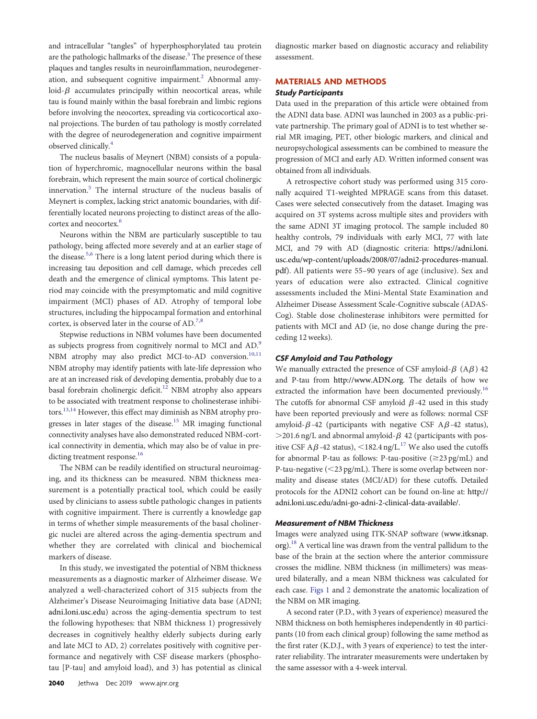and intracellular "tangles" of hyperphosphorylated tau protein are the pathologic hallmarks of the disease.<sup>3</sup> The presence of these plaques and tangles results in neuroinflammation, neurodegener-ation, and subsequent cognitive impairment.<sup>[2](#page-5-1)</sup> Abnormal amyloid- $\beta$  accumulates principally within neocortical areas, while tau is found mainly within the basal forebrain and limbic regions before involving the neocortex, spreading via corticocortical axonal projections. The burden of tau pathology is mostly correlated with the degree of neurodegeneration and cognitive impairment observed clinically.<sup>4</sup>

The nucleus basalis of Meynert (NBM) consists of a population of hyperchromic, magnocellular neurons within the basal forebrain, which represent the main source of cortical cholinergic innervation.<sup>5</sup> The internal structure of the nucleus basalis of Meynert is complex, lacking strict anatomic boundaries, with differentially located neurons projecting to distinct areas of the allo-cortex and neocortex.<sup>[6](#page-5-5)</sup>

Neurons within the NBM are particularly susceptible to tau pathology, being affected more severely and at an earlier stage of the disease[.5,](#page-5-4)[6](#page-5-5) There is a long latent period during which there is increasing tau deposition and cell damage, which precedes cell death and the emergence of clinical symptoms. This latent period may coincide with the presymptomatic and mild cognitive impairment (MCI) phases of AD. Atrophy of temporal lobe structures, including the hippocampal formation and entorhinal cortex, is observed later in the course of AD.<sup>[7](#page-5-6)[,8](#page-5-7)</sup>

Stepwise reductions in NBM volumes have been documented as subjects progress from cognitively normal to MCI and AD.<sup>[9](#page-5-8)</sup> NBM atrophy may also predict MCI-to-AD conversion.<sup>[10](#page-5-9),[11](#page-5-10)</sup> NBM atrophy may identify patients with late-life depression who are at an increased risk of developing dementia, probably due to a basal forebrain cholinergic deficit.<sup>[12](#page-5-11)</sup> NBM atrophy also appears to be associated with treatment response to cholinesterase inhibitors.[13](#page-5-12)[,14](#page-5-13) However, this effect may diminish as NBM atrophy pro-gresses in later stages of the disease.<sup>[15](#page-5-14)</sup> MR imaging functional connectivity analyses have also demonstrated reduced NBM-cortical connectivity in dementia, which may also be of value in predicting treatment response.<sup>16</sup>

The NBM can be readily identified on structural neuroimaging, and its thickness can be measured. NBM thickness measurement is a potentially practical tool, which could be easily used by clinicians to assess subtle pathologic changes in patients with cognitive impairment. There is currently a knowledge gap in terms of whether simple measurements of the basal cholinergic nuclei are altered across the aging-dementia spectrum and whether they are correlated with clinical and biochemical markers of disease.

In this study, we investigated the potential of NBM thickness measurements as a diagnostic marker of Alzheimer disease. We analyzed a well-characterized cohort of 315 subjects from the Alzheimer's Disease Neuroimaging Initiative data base (ADNI; [adni.loni.usc.edu\)](http://adni.loni.usc.edu) across the aging-dementia spectrum to test the following hypotheses: that NBM thickness 1) progressively decreases in cognitively healthy elderly subjects during early and late MCI to AD, 2) correlates positively with cognitive performance and negatively with CSF disease markers (phosphotau [P-tau] and amyloid load), and 3) has potential as clinical

diagnostic marker based on diagnostic accuracy and reliability assessment.

### MATERIALS AND METHODS

#### Study Participants

Data used in the preparation of this article were obtained from the ADNI data base. ADNI was launched in 2003 as a public-private partnership. The primary goal of ADNI is to test whether serial MR imaging, PET, other biologic markers, and clinical and neuropsychological assessments can be combined to measure the progression of MCI and early AD. Written informed consent was obtained from all individuals.

A retrospective cohort study was performed using 315 coronally acquired T1-weighted MPRAGE scans from this dataset. Cases were selected consecutively from the dataset. Imaging was acquired on 3T systems across multiple sites and providers with the same ADNI 3T imaging protocol. The sample included 80 healthy controls, 79 individuals with early MCI, 77 with late MCI, and 79 with AD (diagnostic criteria: [https://adni.loni.](https://adni.loni.usc.edu/wp-content/uploads/2008/07/adni2-procedures-manual.pdf) [usc.edu/wp-content/uploads/2008/07/adni2-procedures-manual.](https://adni.loni.usc.edu/wp-content/uploads/2008/07/adni2-procedures-manual.pdf) [pdf](https://adni.loni.usc.edu/wp-content/uploads/2008/07/adni2-procedures-manual.pdf)). All patients were 55–90 years of age (inclusive). Sex and years of education were also extracted. Clinical cognitive assessments included the Mini-Mental State Examination and Alzheimer Disease Assessment Scale-Cognitive subscale (ADAS-Cog). Stable dose cholinesterase inhibitors were permitted for patients with MCI and AD (ie, no dose change during the preceding 12 weeks).

#### CSF Amyloid and Tau Pathology

We manually extracted the presence of CSF amyloid- $\beta$  (A $\beta$ ) 42 and P-tau from <http://www.ADN.org>. The details of how we extracted the information have been documented previously.<sup>[16](#page-5-15)</sup> The cutoffs for abnormal CSF amyloid  $\beta$  -42 used in this study have been reported previously and were as follows: normal CSF amyloid- $\beta$ -42 (participants with negative CSF A $\beta$ -42 status),  $>$ 201.6 ng/L and abnormal amyloid- $\beta$  42 (participants with positive CSF A $\beta$ -42 status), <182.4 ng/L.<sup>17</sup> We also used the cutoffs for abnormal P-tau as follows: P-tau-positive  $(\geq 23 \text{ pg/mL})$  and P-tau-negative  $(<$ 23 pg/mL). There is some overlap between normality and disease states (MCI/AD) for these cutoffs. Detailed protocols for the ADNI2 cohort can be found on-line at: [http://](http://adni.loni.usc.edu/adni-go-adni-2-clinical-data-available/) [adni.loni.usc.edu/adni-go-adni-2-clinical-data-available/.](http://adni.loni.usc.edu/adni-go-adni-2-clinical-data-available/)

#### Measurement of NBM Thickness

Images were analyzed using ITK-SNAP software ([www.itksnap.](www.itksnap.org)  $\log$ ).<sup>18</sup> A vertical line was drawn from the ventral pallidum to the base of the brain at the section where the anterior commissure crosses the midline. NBM thickness (in millimeters) was measured bilaterally, and a mean NBM thickness was calculated for each case. [Figs 1](#page-2-0) and [2](#page-2-1) demonstrate the anatomic localization of the NBM on MR imaging.

A second rater (P.D., with 3 years of experience) measured the NBM thickness on both hemispheres independently in 40 participants (10 from each clinical group) following the same method as the first rater (K.D.J., with 3 years of experience) to test the interrater reliability. The intrarater measurements were undertaken by the same assessor with a 4-week interval.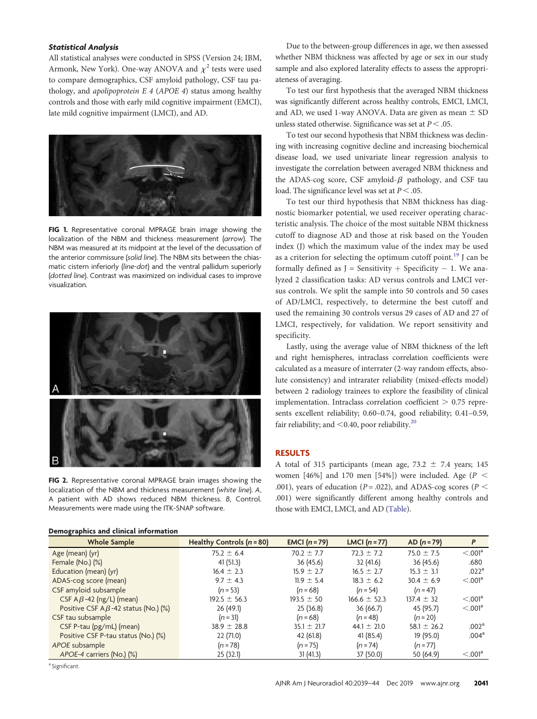#### Statistical Analysis

All statistical analyses were conducted in SPSS (Version 24; IBM, Armonk, New York). One-way ANOVA and  $\chi^2$  tests were used to compare demographics, CSF amyloid pathology, CSF tau pathology, and apolipoprotein E 4 (APOE 4) status among healthy controls and those with early mild cognitive impairment (EMCI), late mild cognitive impairment (LMCI), and AD.



FIG 1. Representative coronal MPRAGE brain image showing the localization of the NBM and thickness measurement (arrow). The NBM was measured at its midpoint at the level of the decussation of the anterior commissure (solid line). The NBM sits between the chiasmatic cistern inferiorly (line-dot) and the ventral pallidum superiorly (dotted line). Contrast was maximized on individual cases to improve visualization.

<span id="page-2-0"></span>

<span id="page-2-1"></span>FIG 2. Representative coronal MPRAGE brain images showing the localization of the NBM and thickness measurement (white line). A, A patient with AD shows reduced NBM thickness. B, Control. Measurements were made using the ITK-SNAP software.

Due to the between-group differences in age, we then assessed whether NBM thickness was affected by age or sex in our study sample and also explored laterality effects to assess the appropriateness of averaging.

To test our first hypothesis that the averaged NBM thickness was significantly different across healthy controls, EMCI, LMCI, and AD, we used 1-way ANOVA. Data are given as mean  $\pm$  SD unless stated otherwise. Significance was set at  $P < .05$ .

To test our second hypothesis that NBM thickness was declining with increasing cognitive decline and increasing biochemical disease load, we used univariate linear regression analysis to investigate the correlation between averaged NBM thickness and the ADAS-cog score, CSF amyloid- $\beta$  pathology, and CSF tau load. The significance level was set at  $P < .05$ .

To test our third hypothesis that NBM thickness has diagnostic biomarker potential, we used receiver operating characteristic analysis. The choice of the most suitable NBM thickness cutoff to diagnose AD and those at risk based on the Youden index (J) which the maximum value of the index may be used as a criterion for selecting the optimum cutoff point.<sup>[19](#page-5-18)</sup> J can be formally defined as  $J =$  Sensitivity  $+$  Specificity  $-1$ . We analyzed 2 classification tasks: AD versus controls and LMCI versus controls. We split the sample into 50 controls and 50 cases of AD/LMCI, respectively, to determine the best cutoff and used the remaining 30 controls versus 29 cases of AD and 27 of LMCI, respectively, for validation. We report sensitivity and specificity.

Lastly, using the average value of NBM thickness of the left and right hemispheres, intraclass correlation coefficients were calculated as a measure of interrater (2-way random effects, absolute consistency) and intrarater reliability (mixed-effects model) between 2 radiology trainees to explore the feasibility of clinical implementation. Intraclass correlation coefficient  $> 0.75$  represents excellent reliability; 0.60–0.74, good reliability; 0.41–0.59, fair reliability; and  $<$  0.40, poor reliability.<sup>20</sup>

## RESULTS

A total of 315 participants (mean age,  $73.2 \pm 7.4$  years; 145 women [46%] and 170 men [54%]) were included. Age ( $P <$ .001), years of education ( $P = .022$ ), and ADAS-cog scores ( $P <$ .001) were significantly different among healthy controls and those with EMCI, LMCI, and AD [\(Table](#page-2-2)).

<span id="page-2-2"></span>

| Demographics and clinical information       |                             |                 |                  |                 |                        |
|---------------------------------------------|-----------------------------|-----------------|------------------|-----------------|------------------------|
| <b>Whole Sample</b>                         | Healthy Controls $(n = 80)$ | EMCI $(n=79)$   | LMCI $(n=77)$    | $AD (n = 79)$   | P                      |
| Age (mean) (yr)                             | $75.2 \pm 6.4$              | $70.2 \pm 7.7$  | $72.3 \pm 7.2$   | 75.0 $\pm$ 7.5  | $< 0.001$ <sup>a</sup> |
| Female (No.) $(\%)$                         | 41(51.3)                    | 36 (45.6)       | 32(41.6)         | 36(45.6)        | .680                   |
| Education (mean) (yr)                       | $16.4 \pm 2.3$              | $15.9 \pm 2.7$  | $16.5 \pm 2.7$   | $15.3 \pm 3.1$  | .022 <sup>a</sup>      |
| ADAS-cog score (mean)                       | $9.7 \pm 4.3$               | $11.9 \pm 5.4$  | $18.3 \pm 6.2$   | $30.4 \pm 6.9$  | $< 0.001$ <sup>a</sup> |
| CSF amyloid subsample                       | $(n = 53)$                  | $(n = 68)$      | $(n = 54)$       | $(n = 47)$      |                        |
| CSF $A\beta$ -42 (ng/L) (mean)              | $192.5 \pm 56.3$            | $193.5 \pm 50$  | $166.6 \pm 52.3$ | $137.4 \pm 32$  | $< 0.001$ <sup>a</sup> |
| Positive CSF A $\beta$ -42 status (No.) (%) | 26(49.1)                    | 25(36.8)        | 36(66.7)         | 45 (95.7)       | $< 0.001$ <sup>a</sup> |
| CSF tau subsample                           | $(n = 31)$                  | $(n = 68)$      | $(n=48)$         | $(n = 20)$      |                        |
| CSF P-tau (pg/mL) (mean)                    | $38.9 \pm 28.8$             | $35.1 \pm 21.7$ | 44.1 $\pm$ 21.0  | 58.1 $\pm$ 26.2 | .002 <sup>a</sup>      |
| Positive CSF P-tau status (No.) (%)         | 22 (71.0)                   | 42 (61.8)       | 41(85.4)         | 19 (95.0)       | .004 <sup>a</sup>      |
| APOE subsample                              | $(n=78)$                    | $(n=75)$        | $(n=74)$         | $(n=77)$        |                        |
| APOE-4 carriers (No.) (%)                   | 25(32.1)                    | 31(41.3)        | 37 (50.0)        | 50 (64.9)       | $< 0.001$ <sup>a</sup> |

<sup>a</sup> Significant.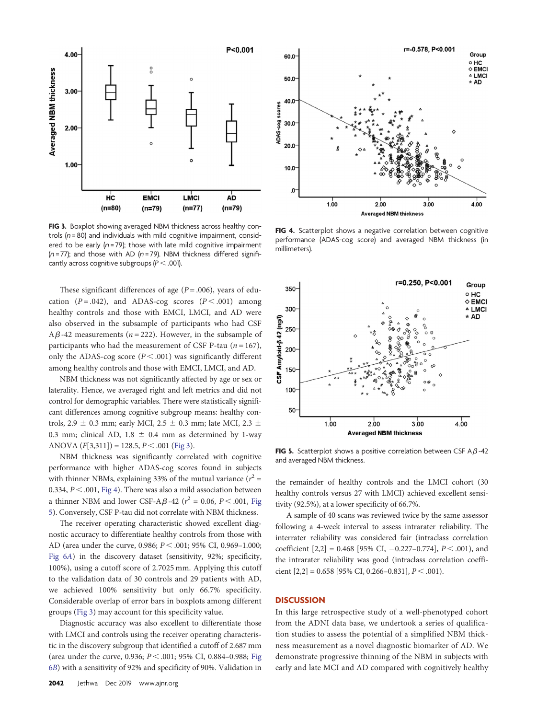

<span id="page-3-0"></span>FIG 3. Boxplot showing averaged NBM thickness across healthy controls  $(n = 80)$  and individuals with mild cognitive impairment, considered to be early  $(n=79)$ ; those with late mild cognitive impairment ( $n = 77$ ); and those with AD ( $n = 79$ ). NBM thickness differed significantly across cognitive subgroups ( $P < .001$ ).

These significant differences of age ( $P = .006$ ), years of education ( $P = .042$ ), and ADAS-cog scores ( $P < .001$ ) among healthy controls and those with EMCI, LMCI, and AD were also observed in the subsample of participants who had CSF  $A\beta$ -42 measurements (*n* = 222). However, in the subsample of participants who had the measurement of CSF P-tau ( $n = 167$ ), only the ADAS-cog score ( $P < .001$ ) was significantly different among healthy controls and those with EMCI, LMCI, and AD.

NBM thickness was not significantly affected by age or sex or laterality. Hence, we averaged right and left metrics and did not control for demographic variables. There were statistically significant differences among cognitive subgroup means: healthy controls, 2.9  $\pm$  0.3 mm; early MCI, 2.5  $\pm$  0.3 mm; late MCI, 2.3  $\pm$ 0.3 mm; clinical AD, 1.8  $\pm$  0.4 mm as determined by 1-way ANOVA  $(F[3,311]) = 128.5, P < .001$  ([Fig 3](#page-3-0)).

NBM thickness was significantly correlated with cognitive performance with higher ADAS-cog scores found in subjects with thinner NBMs, explaining 33% of the mutual variance ( $r^2$  = 0.334,  $P < .001$ , [Fig 4\)](#page-3-1). There was also a mild association between a thinner NBM and lower CSF-A $\beta$ -42 ( $r^2$  = 0.06, P < .001, [Fig](#page-3-2) [5](#page-3-2)). Conversely, CSF P-tau did not correlate with NBM thickness.

The receiver operating characteristic showed excellent diagnostic accuracy to differentiate healthy controls from those with AD (area under the curve, 0.986;  $P < .001$ ; 95% CI, 0.969–1.000; [Fig 6](#page-4-0)A) in the discovery dataset (sensitivity, 92%; specificity, 100%), using a cutoff score of 2.7025 mm. Applying this cutoff to the validation data of 30 controls and 29 patients with AD, we achieved 100% sensitivity but only 66.7% specificity. Considerable overlap of error bars in boxplots among different groups [\(Fig 3](#page-3-0)) may account for this specificity value.

Diagnostic accuracy was also excellent to differentiate those with LMCI and controls using the receiver operating characteristic in the discovery subgroup that identified a cutoff of 2.687 mm (area under the curve, 0.936;  $P < .001$ ; 95% CI, 0.884–0.988; [Fig](#page-4-0) 6[B](#page-4-0)) with a sensitivity of 92% and specificity of 90%. Validation in



<span id="page-3-1"></span>FIG 4. Scatterplot shows a negative correlation between cognitive performance (ADAS-cog score) and averaged NBM thickness (in millimeters).



<span id="page-3-2"></span>FIG 5. Scatterplot shows a positive correlation between CSF A $\beta$ -42 and averaged NBM thickness.

the remainder of healthy controls and the LMCI cohort (30 healthy controls versus 27 with LMCI) achieved excellent sensitivity (92.5%), at a lower specificity of 66.7%.

A sample of 40 scans was reviewed twice by the same assessor following a 4-week interval to assess intrarater reliability. The interrater reliability was considered fair (intraclass correlation coefficient  $[2,2] = 0.468$  [95% CI,  $-0.227-0.774$ ],  $P < .001$ ), and the intrarater reliability was good (intraclass correlation coefficient  $[2,2] = 0.658$  [95% CI, 0.266-0.831],  $P < .001$ ).

#### **DISCUSSION**

In this large retrospective study of a well-phenotyped cohort from the ADNI data base, we undertook a series of qualification studies to assess the potential of a simplified NBM thickness measurement as a novel diagnostic biomarker of AD. We demonstrate progressive thinning of the NBM in subjects with early and late MCI and AD compared with cognitively healthy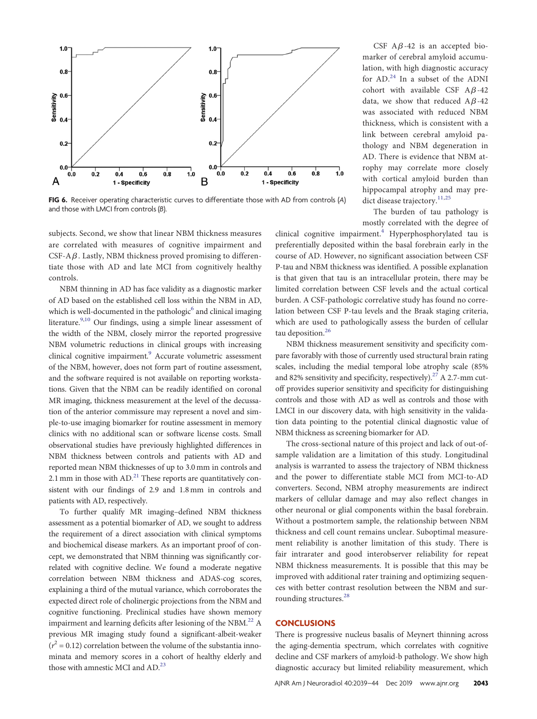

<span id="page-4-0"></span>FIG 6. Receiver operating characteristic curves to differentiate those with AD from controls (A) and those with LMCI from controls (B).

subjects. Second, we show that linear NBM thickness measures are correlated with measures of cognitive impairment and CSF-A $\beta$ . Lastly, NBM thickness proved promising to differentiate those with AD and late MCI from cognitively healthy controls.

NBM thinning in AD has face validity as a diagnostic marker of AD based on the established cell loss within the NBM in AD, which is well-documented in the pathologic $<sup>6</sup>$  and clinical imaging</sup> literature.<sup>9[,10](#page-5-9)</sup> Our findings, using a simple linear assessment of the width of the NBM, closely mirror the reported progressive NBM volumetric reductions in clinical groups with increasing clinical cognitive impairment.<sup>[9](#page-5-8)</sup> Accurate volumetric assessment of the NBM, however, does not form part of routine assessment, and the software required is not available on reporting workstations. Given that the NBM can be readily identified on coronal MR imaging, thickness measurement at the level of the decussation of the anterior commissure may represent a novel and simple-to-use imaging biomarker for routine assessment in memory clinics with no additional scan or software license costs. Small observational studies have previously highlighted differences in NBM thickness between controls and patients with AD and reported mean NBM thicknesses of up to 3.0 mm in controls and 2.1 mm in those with  $AD.^{21}$  These reports are quantitatively consistent with our findings of 2.9 and 1.8 mm in controls and patients with AD, respectively.

To further qualify MR imaging–defined NBM thickness assessment as a potential biomarker of AD, we sought to address the requirement of a direct association with clinical symptoms and biochemical disease markers. As an important proof of concept, we demonstrated that NBM thinning was significantly correlated with cognitive decline. We found a moderate negative correlation between NBM thickness and ADAS-cog scores, explaining a third of the mutual variance, which corroborates the expected direct role of cholinergic projections from the NBM and cognitive functioning. Preclinical studies have shown memory impairment and learning deficits after lesioning of the NBM. $^{22}$  A previous MR imaging study found a significant-albeit-weaker  $(r^2 = 0.12)$  correlation between the volume of the substantia innominata and memory scores in a cohort of healthy elderly and those with amnestic MCI and AD.<sup>23</sup>

CSF  $A\beta$ -42 is an accepted biomarker of cerebral amyloid accumulation, with high diagnostic accuracy for AD.[24](#page-5-23) In a subset of the ADNI cohort with available CSF  $A\beta$ -42 data, we show that reduced  $A\beta -42$ was associated with reduced NBM thickness, which is consistent with a link between cerebral amyloid pathology and NBM degeneration in AD. There is evidence that NBM atrophy may correlate more closely with cortical amyloid burden than hippocampal atrophy and may pre-dict disease trajectory.<sup>[11](#page-5-10),[25](#page-5-24)</sup>

The burden of tau pathology is mostly correlated with the degree of

clinical cognitive impairment.<sup>4</sup> Hyperphosphorylated tau is preferentially deposited within the basal forebrain early in the course of AD. However, no significant association between CSF P-tau and NBM thickness was identified. A possible explanation is that given that tau is an intracellular protein, there may be limited correlation between CSF levels and the actual cortical burden. A CSF-pathologic correlative study has found no correlation between CSF P-tau levels and the Braak staging criteria, which are used to pathologically assess the burden of cellular tau deposition.<sup>[26](#page-5-25)</sup>

NBM thickness measurement sensitivity and specificity compare favorably with those of currently used structural brain rating scales, including the medial temporal lobe atrophy scale (85% and 82% sensitivity and specificity, respectively).<sup>27</sup> A 2.7-mm cutoff provides superior sensitivity and specificity for distinguishing controls and those with AD as well as controls and those with LMCI in our discovery data, with high sensitivity in the validation data pointing to the potential clinical diagnostic value of NBM thickness as screening biomarker for AD.

The cross-sectional nature of this project and lack of out-ofsample validation are a limitation of this study. Longitudinal analysis is warranted to assess the trajectory of NBM thickness and the power to differentiate stable MCI from MCI-to-AD converters. Second, NBM atrophy measurements are indirect markers of cellular damage and may also reflect changes in other neuronal or glial components within the basal forebrain. Without a postmortem sample, the relationship between NBM thickness and cell count remains unclear. Suboptimal measurement reliability is another limitation of this study. There is fair intrarater and good interobserver reliability for repeat NBM thickness measurements. It is possible that this may be improved with additional rater training and optimizing sequences with better contrast resolution between the NBM and sur-rounding structures.<sup>[28](#page-5-27)</sup>

#### **CONCLUSIONS**

There is progressive nucleus basalis of Meynert thinning across the aging-dementia spectrum, which correlates with cognitive decline and CSF markers of amyloid-b pathology. We show high diagnostic accuracy but limited reliability measurement, which